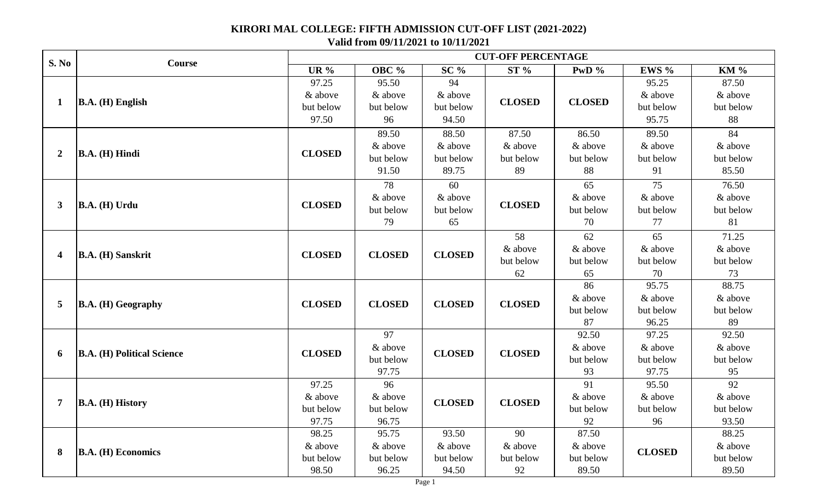## **KIRORI MAL COLLEGE: FIFTH ADMISSION CUT-OFF LIST (2021-2022)**

**Valid from 09/11/2021 to 10/11/2021**

| <b>S. No</b>   | <b>Course</b>                     | <b>CUT-OFF PERCENTAGE</b> |               |               |               |               |               |             |  |
|----------------|-----------------------------------|---------------------------|---------------|---------------|---------------|---------------|---------------|-------------|--|
|                |                                   | UR $%$                    | OBC %         | $SC\%$        | ST%           | PwD $\%$      | EWS %         | <b>KM %</b> |  |
| $\mathbf{1}$   | $B.A. (H)$ English                | 97.25                     | 95.50         | 94            |               |               | 95.25         | 87.50       |  |
|                |                                   | & above                   | & above       | & above       | <b>CLOSED</b> |               | & above       | & above     |  |
|                |                                   | but below                 | but below     | but below     |               | <b>CLOSED</b> | but below     | but below   |  |
|                |                                   | 97.50                     | 96            | 94.50         |               |               | 95.75         | 88          |  |
|                |                                   |                           | 89.50         | 88.50         | 87.50         | 86.50         | 89.50         | 84          |  |
|                |                                   |                           | & above       | & above       | & above       | & above       | & above       | & above     |  |
| $\overline{2}$ | $\mathbf{B.A.}$ (H) Hindi         | <b>CLOSED</b>             | but below     | but below     | but below     | but below     | but below     | but below   |  |
|                |                                   |                           | 91.50         | 89.75         | 89            | 88            | 91            | 85.50       |  |
|                |                                   |                           | 78            | 60            | <b>CLOSED</b> | 65            | 75            | 76.50       |  |
|                | $\mathbf{B.A.}$ (H) Urdu          | <b>CLOSED</b>             | & above       | & above       |               | & above       | & above       | & above     |  |
| 3              |                                   |                           | but below     | but below     |               | but below     | but below     | but below   |  |
|                |                                   |                           | 79            | 65            |               | 70            | 77            | 81          |  |
|                | B.A. (H) Sanskrit                 | <b>CLOSED</b>             | <b>CLOSED</b> | <b>CLOSED</b> | 58            | 62            | 65            | 71.25       |  |
|                |                                   |                           |               |               | & above       | & above       | & above       | & above     |  |
| 4              |                                   |                           |               |               | but below     | but below     | but below     | but below   |  |
|                |                                   |                           |               |               | 62            | 65            | 70            | 73          |  |
|                | $\mathbf{B.A.}$ (H) Geography     | <b>CLOSED</b>             |               | <b>CLOSED</b> |               | 86            | 95.75         | 88.75       |  |
| 5              |                                   |                           | <b>CLOSED</b> |               | <b>CLOSED</b> | & above       | & above       | & above     |  |
|                |                                   |                           |               |               |               | but below     | but below     | but below   |  |
|                |                                   |                           |               |               |               | 87            | 96.25         | 89          |  |
|                | <b>B.A. (H) Political Science</b> | <b>CLOSED</b>             | 97            | <b>CLOSED</b> | <b>CLOSED</b> | 92.50         | 97.25         | 92.50       |  |
|                |                                   |                           | & above       |               |               | & above       | & above       | & above     |  |
| 6              |                                   |                           | but below     |               |               | but below     | but below     | but below   |  |
|                |                                   |                           | 97.75         |               |               | 93            | 97.75         | 95          |  |
|                | B.A. (H) History                  | 97.25                     | 96            | <b>CLOSED</b> |               | 91            | 95.50         | 92          |  |
| 7              |                                   | & above                   | & above       |               | <b>CLOSED</b> | & above       | & above       | & above     |  |
|                |                                   | but below                 | but below     |               |               | but below     | but below     | but below   |  |
|                |                                   | 97.75                     | 96.75         |               |               | 92            | 96            | 93.50       |  |
|                | <b>B.A.</b> (H) Economics         | 98.25                     | 95.75         | 93.50         | 90            | 87.50         |               | 88.25       |  |
| 8              |                                   | & above                   | & above       | & above       | & above       | & above       | <b>CLOSED</b> | & above     |  |
|                |                                   | but below                 | but below     | but below     | but below     | but below     |               | but below   |  |
|                |                                   | 98.50                     | 96.25         | 94.50         | 92            | 89.50         |               | 89.50       |  |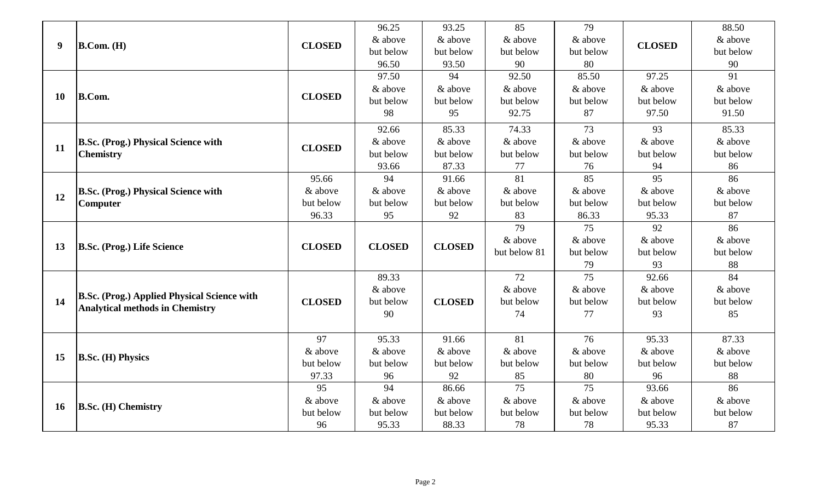| 9         | B. Com. (H)                                                                                  |               | 96.25         | 93.25         | 85              | 79              | <b>CLOSED</b> | 88.50           |
|-----------|----------------------------------------------------------------------------------------------|---------------|---------------|---------------|-----------------|-----------------|---------------|-----------------|
|           |                                                                                              |               | & above       | & above       | & above         | & above         |               | & above         |
|           |                                                                                              | <b>CLOSED</b> | but below     | but below     | but below       | but below       |               | but below       |
|           |                                                                                              |               | 96.50         | 93.50         | 90              | 80              |               | 90              |
|           |                                                                                              |               | 97.50         | 94            | 92.50           | 85.50           | 97.25         | 91              |
| <b>10</b> | <b>B.Com.</b>                                                                                | <b>CLOSED</b> | & above       | & above       | & above         | & above         | & above       | & above         |
|           |                                                                                              |               | but below     | but below     | but below       | but below       | but below     | but below       |
|           |                                                                                              |               | 98            | 95            | 92.75           | 87              | 97.50         | 91.50           |
|           |                                                                                              |               | 92.66         | 85.33         | 74.33           | 73              | 93            | 85.33           |
|           | <b>B.Sc. (Prog.) Physical Science with</b><br><b>Chemistry</b>                               | <b>CLOSED</b> | & above       | & above       | & above         | & above         | & above       | & above         |
| 11        |                                                                                              |               | but below     | but below     | but below       | but below       | but below     | but below       |
|           |                                                                                              |               | 93.66         | 87.33         | 77              | 76              | 94            | 86              |
|           | <b>B.Sc. (Prog.) Physical Science with</b><br>Computer                                       | 95.66         | 94            | 91.66         | 81              | 85              | 95            | 86              |
| 12        |                                                                                              | & above       | & above       | & above       | & above         | & above         | & above       | & above         |
|           |                                                                                              | but below     | but below     | but below     | but below       | but below       | but below     | but below       |
|           |                                                                                              | 96.33         | 95            | 92            | 83              | 86.33           | 95.33         | 87              |
|           | <b>B.Sc. (Prog.) Life Science</b>                                                            | <b>CLOSED</b> |               |               | 79              | 75              | 92            | $\overline{86}$ |
| 13        |                                                                                              |               | <b>CLOSED</b> | <b>CLOSED</b> | & above         | & above         | & above       | & above         |
|           |                                                                                              |               |               |               | but below 81    | but below       | but below     | but below       |
|           |                                                                                              |               |               |               |                 | 79              | 93            | 88              |
|           | <b>B.Sc. (Prog.) Applied Physical Science with</b><br><b>Analytical methods in Chemistry</b> |               | 89.33         |               | $\overline{72}$ | $\overline{75}$ | 92.66         | 84              |
|           |                                                                                              |               | & above       |               | & above         | & above         | & above       | & above         |
| 14        |                                                                                              | <b>CLOSED</b> | but below     | <b>CLOSED</b> | but below       | but below       | but below     | but below       |
|           |                                                                                              |               | 90            |               | 74              | 77              | 93            | 85              |
|           |                                                                                              |               |               |               |                 |                 |               |                 |
|           | <b>B.Sc. (H) Physics</b>                                                                     | 97            | 95.33         | 91.66         | 81              | 76              | 95.33         | 87.33           |
| 15        |                                                                                              | & above       | & above       | & above       | & above         | & above         | & above       | & above         |
|           |                                                                                              | but below     | but below     | but below     | but below       | but below       | but below     | but below       |
|           |                                                                                              | 97.33         | 96            | 92            | 85              | 80              | 96            | 88              |
|           |                                                                                              | 95            | 94            | 86.66         | 75              | 75              | 93.66         | 86              |
| <b>16</b> | <b>B.Sc. (H) Chemistry</b>                                                                   | & above       | & above       | & above       | & above         | & above         | & above       | & above         |
|           |                                                                                              | but below     | but below     | but below     | but below       | but below       | but below     | but below       |
|           |                                                                                              | 96            | 95.33         | 88.33         | 78              | 78              | 95.33         | 87              |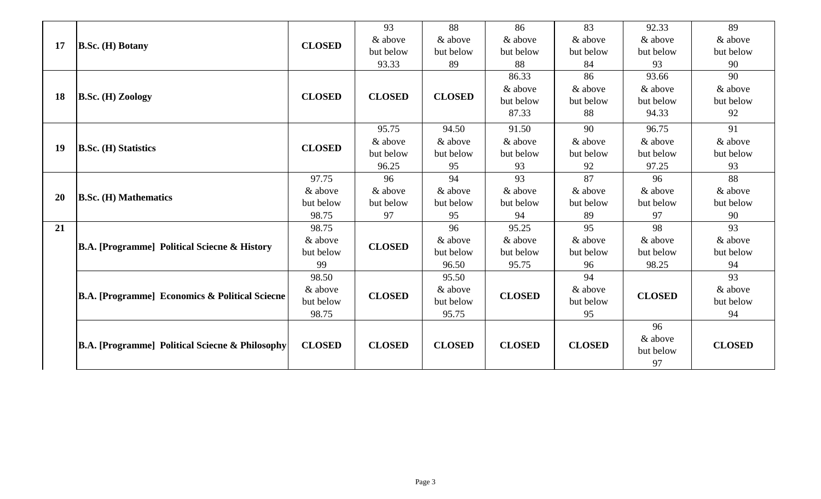| 17        | $B.Sc.$ (H) Botany                                  |               | 93            | 88            | 86            | 83            | 92.33         | 89            |
|-----------|-----------------------------------------------------|---------------|---------------|---------------|---------------|---------------|---------------|---------------|
|           |                                                     | <b>CLOSED</b> | & above       | & above       | & above       | & above       | & above       | & above       |
|           |                                                     |               | but below     | but below     | but below     | but below     | but below     | but below     |
|           |                                                     |               | 93.33         | 89            | 88            | 84            | 93            | 90            |
|           | $\mathbf{B}.\mathbf{Sc}$ . (H) Zoology              | <b>CLOSED</b> | <b>CLOSED</b> | <b>CLOSED</b> | 86.33         | 86            | 93.66         | 90            |
|           |                                                     |               |               |               | & above       | & above       | & above       | & above       |
| 18        |                                                     |               |               |               | but below     | but below     | but below     | but below     |
|           |                                                     |               |               |               | 87.33         | 88            | 94.33         | 92            |
|           | <b>B.Sc. (H) Statistics</b>                         |               | 95.75         | 94.50         | 91.50         | 90            | 96.75         | 91            |
|           |                                                     | <b>CLOSED</b> | & above       | & above       | & above       | & above       | & above       | & above       |
| 19        |                                                     |               | but below     | but below     | but below     | but below     | but below     | but below     |
|           |                                                     |               | 96.25         | 95            | 93            | 92            | 97.25         | 93            |
|           | <b>B.Sc. (H) Mathematics</b>                        | 97.75         | 96            | 94            | 93            | 87            | 96            | 88            |
| <b>20</b> |                                                     | & above       | & above       | & above       | & above       | & above       | & above       | & above       |
|           |                                                     | but below     | but below     | but below     | but below     | but below     | but below     | but below     |
|           |                                                     | 98.75         | 97            | 95            | 94            | 89            | 97            | 90            |
| 21        |                                                     | 98.75         |               | 96            | 95.25         | 95            | 98            | 93            |
|           | <b>B.A.</b> [Programme] Political Sciecne & History | & above       | <b>CLOSED</b> | & above       | & above       | & above       | & above       | & above       |
|           |                                                     | but below     |               | but below     | but below     | but below     | but below     | but below     |
|           |                                                     | 99            |               | 96.50         | 95.75         | 96            | 98.25         | 94            |
|           |                                                     | 98.50         | <b>CLOSED</b> | 95.50         | <b>CLOSED</b> | 94            | <b>CLOSED</b> | 93            |
|           | [B.A. [Programme] Economics & Political Sciecne     | & above       |               | & above       |               | & above       |               | & above       |
|           |                                                     | but below     |               | but below     |               | but below     |               | but below     |
|           |                                                     | 98.75         |               | 95.75         |               | 95            |               | 94            |
|           | [B.A. [Programme] Political Sciecne & Philosophy    | <b>CLOSED</b> | <b>CLOSED</b> | <b>CLOSED</b> | <b>CLOSED</b> | <b>CLOSED</b> | 96            |               |
|           |                                                     |               |               |               |               |               | & above       | <b>CLOSED</b> |
|           |                                                     |               |               |               |               |               | but below     |               |
|           |                                                     |               |               |               |               |               | 97            |               |